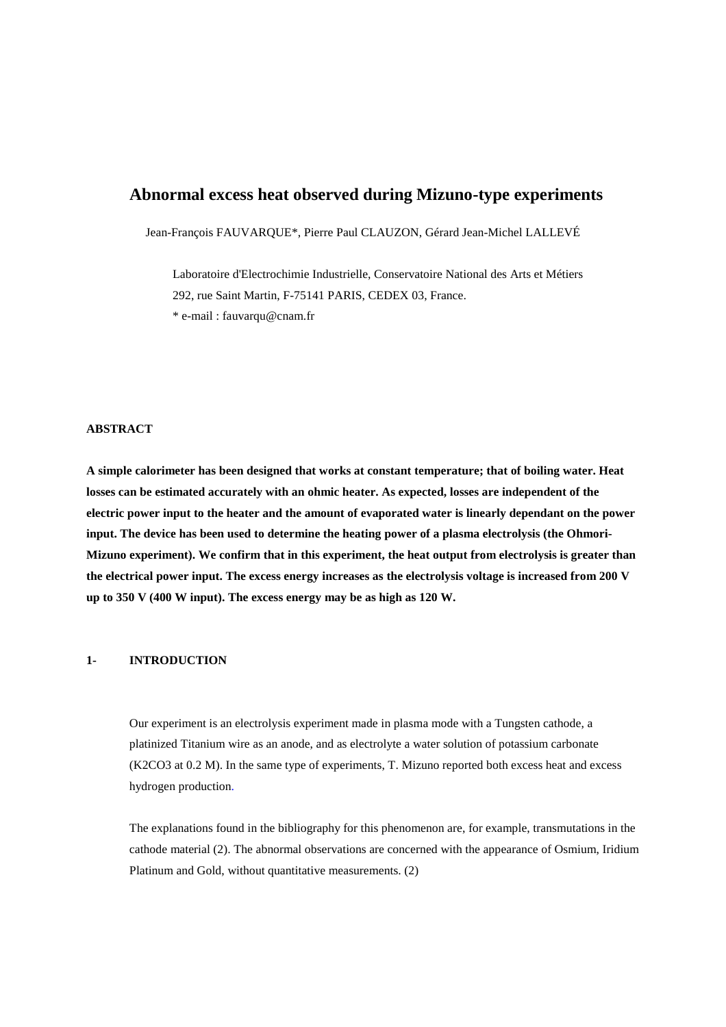# **Abnormal excess heat observed during Mizuno-type experiments**

Jean-François FAUVARQUE\*, Pierre Paul CLAUZON, Gérard Jean-Michel LALLEVÉ

Laboratoire d'Electrochimie Industrielle, Conservatoire National des Arts et Métiers 292, rue Saint Martin, F-75141 PARIS, CEDEX 03, France. \* e-mail : fauvarqu@cnam.fr

#### **ABSTRACT**

**A simple calorimeter has been designed that works at constant temperature; that of boiling water. Heat losses can be estimated accurately with an ohmic heater. As expected, losses are independent of the electric power input to the heater and the amount of evaporated water is linearly dependant on the power input. The device has been used to determine the heating power of a plasma electrolysis (the Ohmori-Mizuno experiment). We confirm that in this experiment, the heat output from electrolysis is greater than the electrical power input. The excess energy increases as the electrolysis voltage is increased from 200 V up to 350 V (400 W input). The excess energy may be as high as 120 W.**

### **1- INTRODUCTION**

Our experiment is an electrolysis experiment made in plasma mode with a Tungsten cathode, a platinized Titanium wire as an anode, and as electrolyte a water solution of potassium carbonate (K2CO3 at 0.2 M). In the same type of experiments, T. Mizuno reported both excess heat and excess hydrogen production.

The explanations found in the bibliography for this phenomenon are, for example, transmutations in the cathode material (2). The abnormal observations are concerned with the appearance of Osmium, Iridium Platinum and Gold, without quantitative measurements. (2)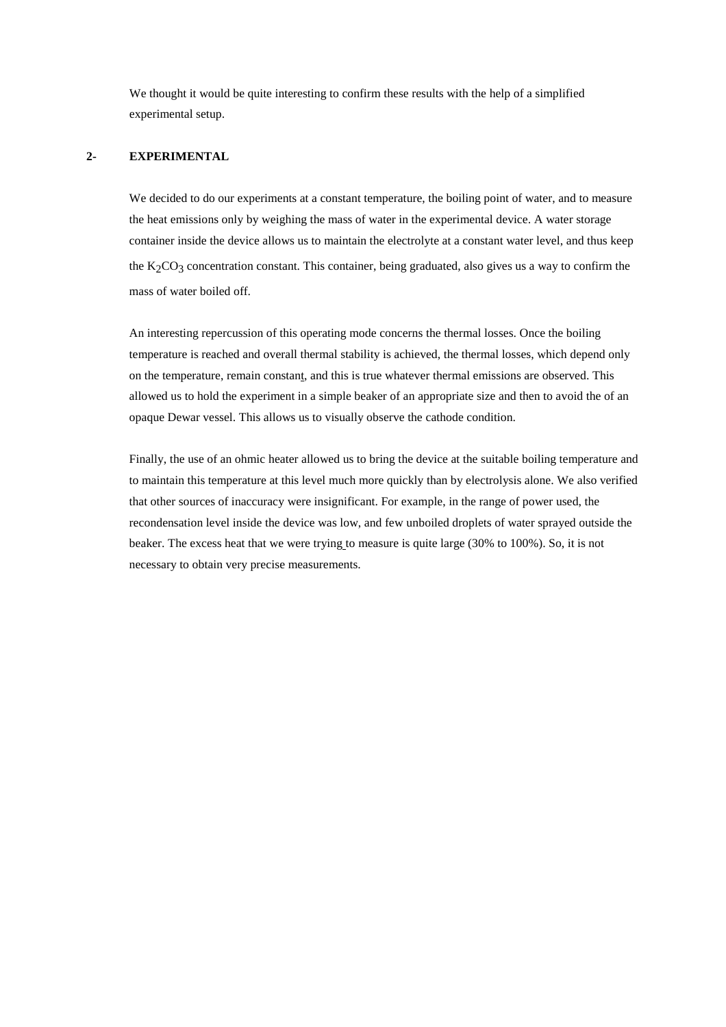We thought it would be quite interesting to confirm these results with the help of a simplified experimental setup.

## **2- EXPERIMENTAL**

We decided to do our experiments at a constant temperature, the boiling point of water, and to measure the heat emissions only by weighing the mass of water in the experimental device. A water storage container inside the device allows us to maintain the electrolyte at a constant water level, and thus keep the  $K_2CO_3$  concentration constant. This container, being graduated, also gives us a way to confirm the mass of water boiled off.

An interesting repercussion of this operating mode concerns the thermal losses. Once the boiling temperature is reached and overall thermal stability is achieved, the thermal losses, which depend only on the temperature, remain constant, and this is true whatever thermal emissions are observed. This allowed us to hold the experiment in a simple beaker of an appropriate size and then to avoid the of an opaque Dewar vessel. This allows us to visually observe the cathode condition.

Finally, the use of an ohmic heater allowed us to bring the device at the suitable boiling temperature and to maintain this temperature at this level much more quickly than by electrolysis alone. We also verified that other sources of inaccuracy were insignificant. For example, in the range of power used, the recondensation level inside the device was low, and few unboiled droplets of water sprayed outside the beaker. The excess heat that we were trying to measure is quite large (30% to 100%). So, it is not necessary to obtain very precise measurements.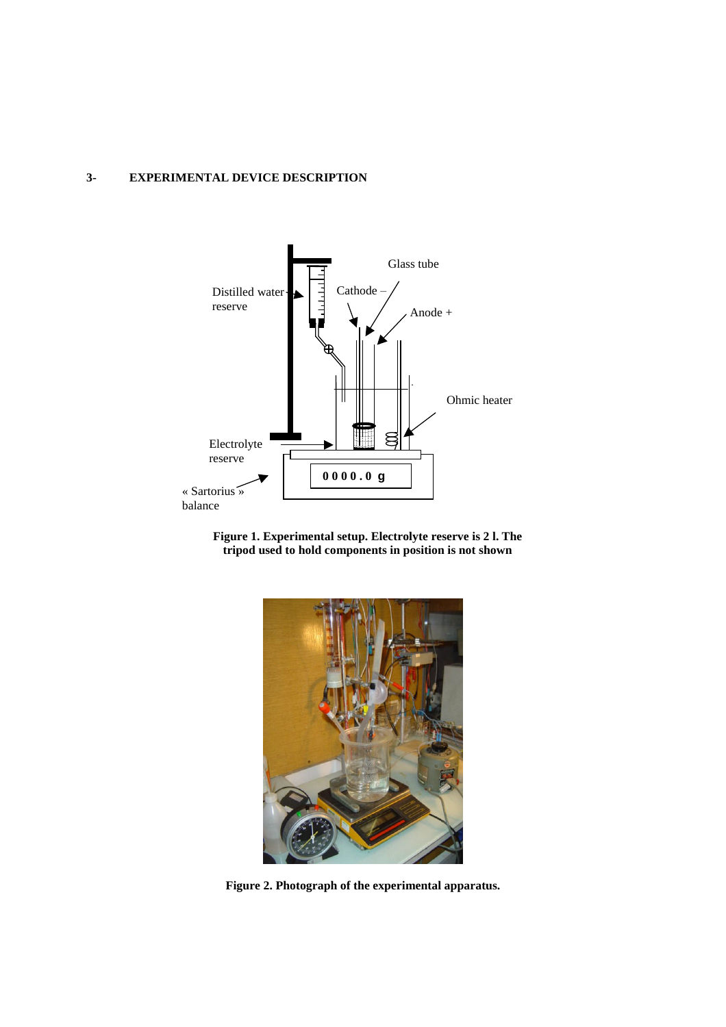#### **3- EXPERIMENTAL DEVICE DESCRIPTION**







**Figure 2. Photograph of the experimental apparatus.**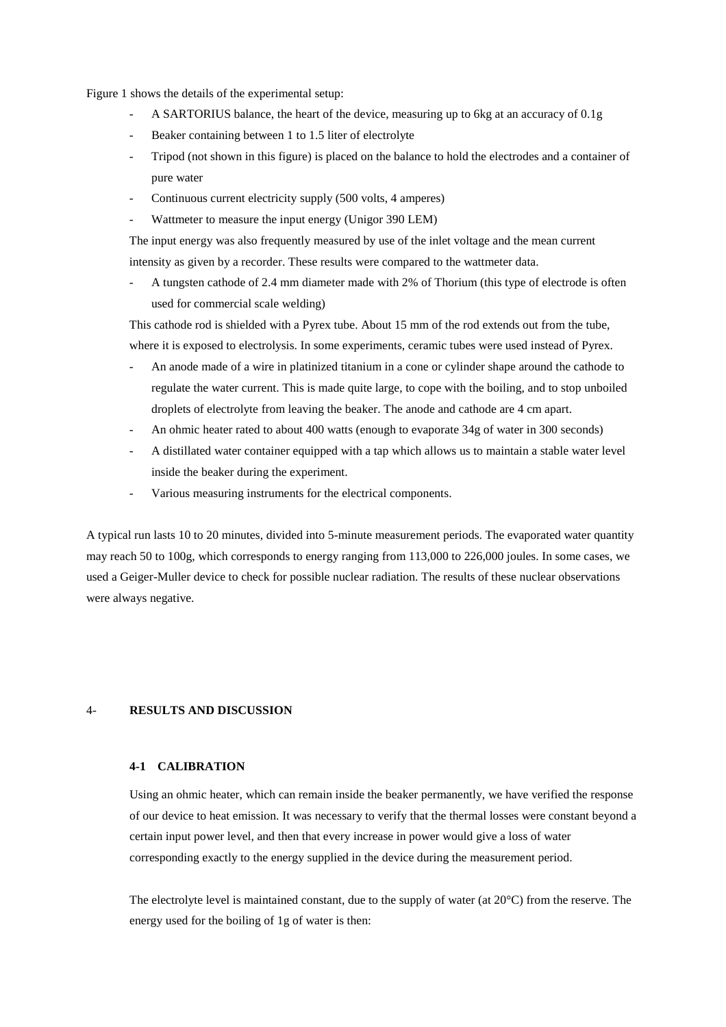Figure 1 shows the details of the experimental setup:

- A SARTORIUS balance, the heart of the device, measuring up to 6kg at an accuracy of 0.1g
- Beaker containing between 1 to 1.5 liter of electrolyte
- Tripod (not shown in this figure) is placed on the balance to hold the electrodes and a container of pure water
- Continuous current electricity supply (500 volts, 4 amperes)
- Wattmeter to measure the input energy (Unigor 390 LEM)

The input energy was also frequently measured by use of the inlet voltage and the mean current intensity as given by a recorder. These results were compared to the wattmeter data.

- A tungsten cathode of 2.4 mm diameter made with 2% of Thorium (this type of electrode is often used for commercial scale welding)

This cathode rod is shielded with a Pyrex tube. About 15 mm of the rod extends out from the tube, where it is exposed to electrolysis. In some experiments, ceramic tubes were used instead of Pyrex.

- An anode made of a wire in platinized titanium in a cone or cylinder shape around the cathode to regulate the water current. This is made quite large, to cope with the boiling, and to stop unboiled droplets of electrolyte from leaving the beaker. The anode and cathode are 4 cm apart.
- An ohmic heater rated to about 400 watts (enough to evaporate 34g of water in 300 seconds)
- A distillated water container equipped with a tap which allows us to maintain a stable water level inside the beaker during the experiment.
- Various measuring instruments for the electrical components.

A typical run lasts 10 to 20 minutes, divided into 5-minute measurement periods. The evaporated water quantity may reach 50 to 100g, which corresponds to energy ranging from 113,000 to 226,000 joules. In some cases, we used a Geiger-Muller device to check for possible nuclear radiation. The results of these nuclear observations were always negative.

### 4- **RESULTS AND DISCUSSION**

#### **4-1 CALIBRATION**

Using an ohmic heater, which can remain inside the beaker permanently, we have verified the response of our device to heat emission. It was necessary to verify that the thermal losses were constant beyond a certain input power level, and then that every increase in power would give a loss of water corresponding exactly to the energy supplied in the device during the measurement period.

The electrolyte level is maintained constant, due to the supply of water (at 20°C) from the reserve. The energy used for the boiling of 1g of water is then: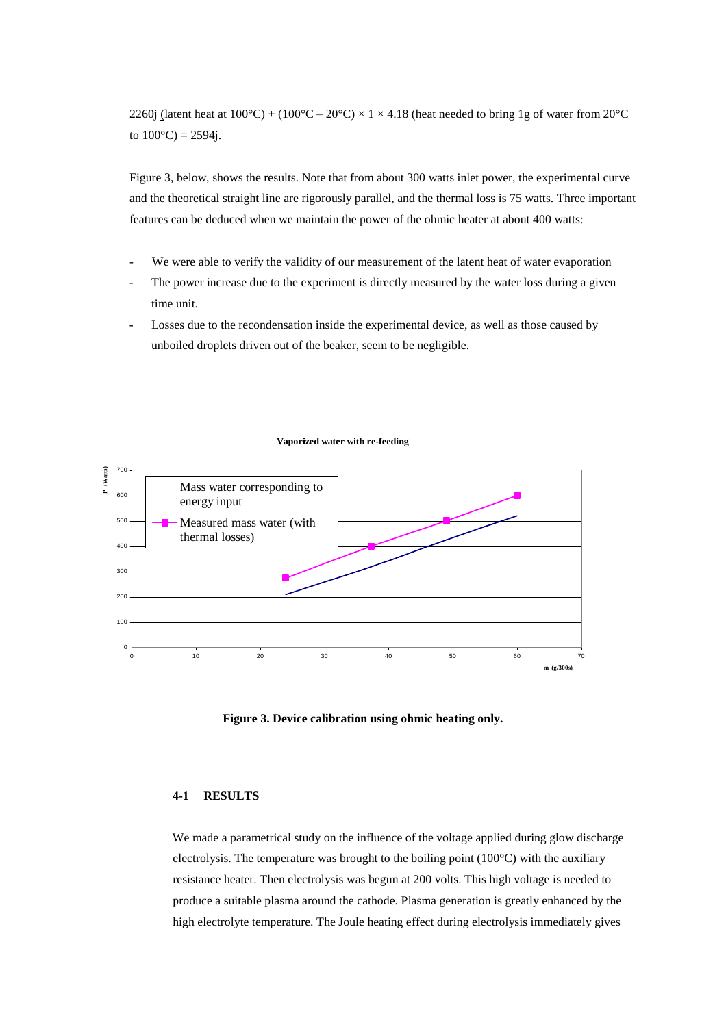2260j (latent heat at  $100^{\circ}$ C) + ( $100^{\circ}$ C –  $20^{\circ}$ C) × 1 × 4.18 (heat needed to bring 1g of water from 20°C to  $100^{\circ}$ C) = 2594j.

Figure 3, below, shows the results. Note that from about 300 watts inlet power, the experimental curve and the theoretical straight line are rigorously parallel, and the thermal loss is 75 watts. Three important features can be deduced when we maintain the power of the ohmic heater at about 400 watts:

- We were able to verify the validity of our measurement of the latent heat of water evaporation
- The power increase due to the experiment is directly measured by the water loss during a given time unit.
- Losses due to the recondensation inside the experimental device, as well as those caused by unboiled droplets driven out of the beaker, seem to be negligible.



**Vaporized water with re-feeding**

**Figure 3. Device calibration using ohmic heating only.**

### **4-1 RESULTS**

We made a parametrical study on the influence of the voltage applied during glow discharge electrolysis. The temperature was brought to the boiling point  $(100^{\circ}C)$  with the auxiliary resistance heater. Then electrolysis was begun at 200 volts. This high voltage is needed to produce a suitable plasma around the cathode. Plasma generation is greatly enhanced by the high electrolyte temperature. The Joule heating effect during electrolysis immediately gives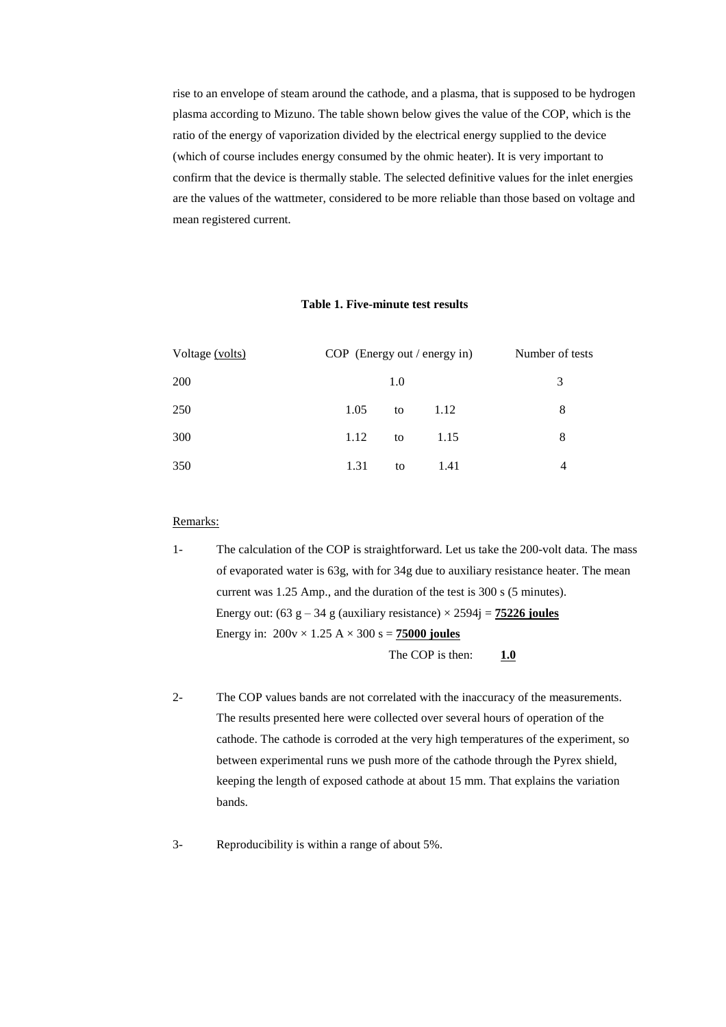rise to an envelope of steam around the cathode, and a plasma, that is supposed to be hydrogen plasma according to Mizuno. The table shown below gives the value of the COP, which is the ratio of the energy of vaporization divided by the electrical energy supplied to the device (which of course includes energy consumed by the ohmic heater). It is very important to confirm that the device is thermally stable. The selected definitive values for the inlet energies are the values of the wattmeter, considered to be more reliable than those based on voltage and mean registered current.

### **Table 1. Five-minute test results**

| Voltage (volts) | $COP$ (Energy out / energy in) |     |      | Number of tests |
|-----------------|--------------------------------|-----|------|-----------------|
| <b>200</b>      |                                | 1.0 |      | 3               |
| 250             | 1.05                           | to  | 1.12 | 8               |
| 300             | 1.12                           | to  | 1.15 | 8               |
| 350             | 1.31                           | to  | 1.41 | 4               |

### Remarks:

- 1- The calculation of the COP is straightforward. Let us take the 200-volt data. The mass of evaporated water is 63g, with for 34g due to auxiliary resistance heater. The mean current was 1.25 Amp., and the duration of the test is 300 s (5 minutes). Energy out:  $(63 \text{ g} - 34 \text{ g}$  (auxiliary resistance)  $\times 2594$  j = **75226 joules** Energy in:  $200v \times 1.25 A \times 300 s = 75000 \text{ joules}$ The COP is then:  $1.0$
- 2- The COP values bands are not correlated with the inaccuracy of the measurements. The results presented here were collected over several hours of operation of the cathode. The cathode is corroded at the very high temperatures of the experiment, so between experimental runs we push more of the cathode through the Pyrex shield, keeping the length of exposed cathode at about 15 mm. That explains the variation bands.
- 3- Reproducibility is within a range of about 5%.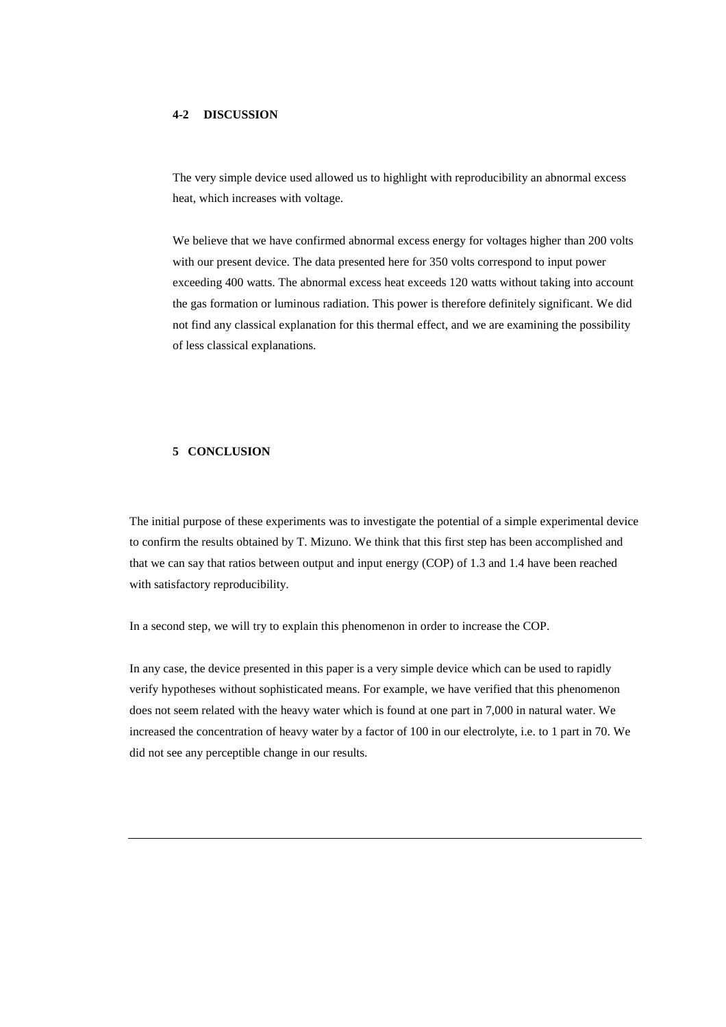### **4-2 DISCUSSION**

The very simple device used allowed us to highlight with reproducibility an abnormal excess heat, which increases with voltage.

We believe that we have confirmed abnormal excess energy for voltages higher than 200 volts with our present device. The data presented here for 350 volts correspond to input power exceeding 400 watts. The abnormal excess heat exceeds 120 watts without taking into account the gas formation or luminous radiation. This power is therefore definitely significant. We did not find any classical explanation for this thermal effect, and we are examining the possibility of less classical explanations.

#### **5 CONCLUSION**

The initial purpose of these experiments was to investigate the potential of a simple experimental device to confirm the results obtained by T. Mizuno. We think that this first step has been accomplished and that we can say that ratios between output and input energy (COP) of 1.3 and 1.4 have been reached with satisfactory reproducibility.

In a second step, we will try to explain this phenomenon in order to increase the COP.

In any case, the device presented in this paper is a very simple device which can be used to rapidly verify hypotheses without sophisticated means. For example, we have verified that this phenomenon does not seem related with the heavy water which is found at one part in 7,000 in natural water. We increased the concentration of heavy water by a factor of 100 in our electrolyte, i.e. to 1 part in 70. We did not see any perceptible change in our results.